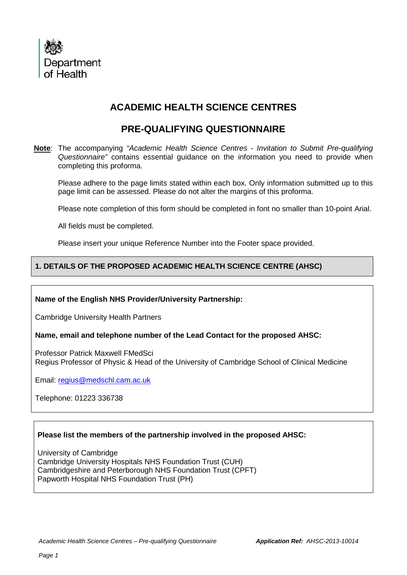

# **ACADEMIC HEALTH SCIENCE CENTRES**

## **PRE-QUALIFYING QUESTIONNAIRE**

**Note**: The accompanying *"Academic Health Science Centres - Invitation to Submit Pre-qualifying Questionnaire"* contains essential guidance on the information you need to provide when completing this proforma.

Please adhere to the page limits stated within each box. Only information submitted up to this page limit can be assessed. Please do not alter the margins of this proforma.

Please note completion of this form should be completed in font no smaller than 10-point Arial.

All fields must be completed.

Please insert your unique Reference Number into the Footer space provided.

## **1. DETAILS OF THE PROPOSED ACADEMIC HEALTH SCIENCE CENTRE (AHSC)**

#### **Name of the English NHS Provider/University Partnership:**

Cambridge University Health Partners

#### **Name, email and telephone number of the Lead Contact for the proposed AHSC:**

Professor Patrick Maxwell FMedSci Regius Professor of Physic & Head of the University of Cambridge School of Clinical Medicine

Email: [regius@medschl.cam.ac.uk](mailto:regius@medschl.cam.ac.uk)

Telephone: 01223 336738

#### **Please list the members of the partnership involved in the proposed AHSC:**

University of Cambridge Cambridge University Hospitals NHS Foundation Trust (CUH) Cambridgeshire and Peterborough NHS Foundation Trust (CPFT) Papworth Hospital NHS Foundation Trust (PH)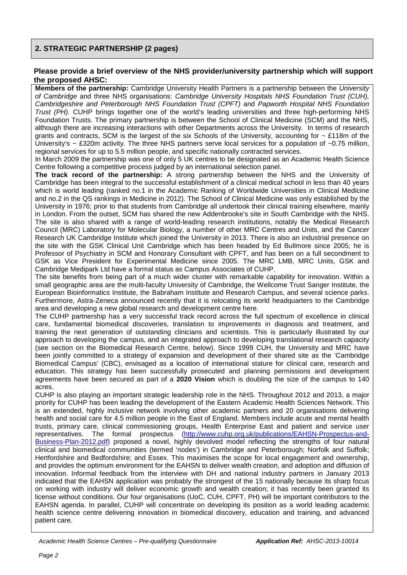## **2. STRATEGIC PARTNERSHIP (2 pages)**

#### **Please provide a brief overview of the NHS provider/university partnership which will support the proposed AHSC:**

**Members of the partnership:** Cambridge University Health Partners is a partnership between the *University of Cambridge* and three NHS organisations: *Cambridge University Hospitals NHS Foundation Trust (CUH), Cambridgeshire and Peterborough NHS Foundation Trust (CPFT)* and *Papworth Hospital NHS Foundation Trust (PH).* CUHP brings together one of the world's leading universities and three high-performing NHS Foundation Trusts. The primary partnership is between the School of Clinical Medicine (SCM) and the NHS, although there are increasing interactions with other Departments across the University. In terms of research grants and contracts, SCM is the largest of the six Schools of the University, accounting for ~ £118m of the University's  $\sim$  £320m activity. The three NHS partners serve local services for a population of  $\sim$ 0.75 million, regional services for up to 5.5 million people, and specific nationally contracted services.

In March 2009 the partnership was one of only 5 UK centres to be designated as an Academic Health Science Centre following a competitive process judged by an international selection panel.

**The track record of the partnership:** A strong partnership between the NHS and the University of Cambridge has been integral to the successful establishment of a clinical medical school in less than 40 years which is world leading (ranked no.1 in the Academic Ranking of Worldwide Universities in Clinical Medicine and no.2 in the QS rankings in Medicine in 2012). The School of Clinical Medicine was only established by the University in 1976; prior to that students from Cambridge all undertook their clinical training elsewhere, mainly in London. From the outset, SCM has shared the new Addenbrooke's site in South Cambridge with the NHS. The site is also shared with a range of world-leading research institutions, notably the Medical Research Council (MRC) Laboratory for Molecular Biology, a number of other MRC Centres and Units, and the Cancer Research UK Cambridge Institute which joined the University in 2013. There is also an industrial presence on the site with the GSK Clinical Unit Cambridge which has been headed by Ed Bullmore since 2005; he is Professor of Psychiatry in SCM and Honorary Consultant with CPFT, and has been on a full secondment to GSK as Vice President for Experimental Medicine since 2005. The MRC LMB, MRC Units, GSK and Cambridge Medipark Ltd have a formal status as Campus Associates of CUHP.

The site benefits from being part of a much wider cluster with remarkable capability for innovation. Within a small geographic area are the multi-faculty University of Cambridge, the Wellcome Trust Sanger Institute, the European Bioinformatics Institute, the Babraham Institute and Research Campus, and several science parks. Furthermore, Astra-Zeneca announced recently that it is relocating its world headquarters to the Cambridge area and developing a new global research and development centre here.

The CUHP partnership has a very successful track record across the full spectrum of excellence in clinical care, fundamental biomedical discoveries, translation to improvements in diagnosis and treatment, and training the next generation of outstanding clinicians and scientists. This is particularly illustrated by our approach to developing the campus, and an integrated approach to developing translational research capacity (see section on the Biomedical Research Centre, below). Since 1999 CUH, the University and MRC have been jointly committed to a strategy of expansion and development of their shared site as the 'Cambridge Biomedical Campus' (CBC), envisaged as a location of international stature for clinical care, research and education. This strategy has been successfully prosecuted and planning permissions and development agreements have been secured as part of a **2020 Vision** which is doubling the size of the campus to 140 acres.

CUHP is also playing an important strategic leadership role in the NHS. Throughout 2012 and 2013, a major priority for CUHP has been leading the development of the Eastern Academic Health Sciences Network. This is an extended, highly inclusive network involving other academic partners and 20 organisations delivering health and social care for 4.5 million people in the East of England. Members include acute and mental health trusts, primary care, clinical commissioning groups, Health Enterprise East and patient and service user<br>representatives. The formal prospectus (http://www.cuhp.org.uk/publications/EAHSN-Prospectus-and-The formal prospectus [\(http://www.cuhp.org.uk/publications/EAHSN-Prospectus-and-](http://www.cuhp.org.uk/publications/EAHSN-Prospectus-and-Business-Plan-2012.pdf)[Business-Plan-2012.pdf\)](http://www.cuhp.org.uk/publications/EAHSN-Prospectus-and-Business-Plan-2012.pdf) proposed a novel, highly devolved model reflecting the strengths of four natural clinical and biomedical communities (termed 'nodes') in Cambridge and Peterborough; Norfolk and Suffolk; Hertfordshire and Bedfordshire; and Essex. This maximises the scope for local engagement and ownership, and provides the optimum environment for the EAHSN to deliver wealth creation, and adoption and diffusion of innovation. Informal feedback from the interview with DH and national industry partners in January 2013 indicated that the EAHSN application was probably the strongest of the 15 nationally because its sharp focus on working with industry will deliver economic growth and wealth creation; it has recently been granted its license without conditions. Our four organisations (UoC, CUH, CPFT, PH) will be important contributors to the EAHSN agenda. In parallel, CUHP will concentrate on developing its position as a world leading academic health science centre delivering innovation in biomedical discovery, education and training, and advanced patient care.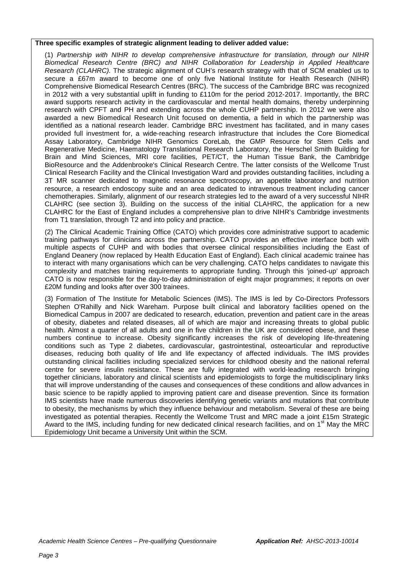#### **Three specific examples of strategic alignment leading to deliver added value:**

(1) *Partnership with NIHR to develop comprehensive infrastructure for translation, through our NIHR Biomedical Research Centre (BRC) and NIHR Collaboration for Leadership in Applied Healthcare Research (CLAHRC).* The strategic alignment of CUH's research strategy with that of SCM enabled us to secure a £67m award to become one of only five National Institute for Health Research (NIHR) Comprehensive Biomedical Research Centres (BRC). The success of the Cambridge BRC was recognized in 2012 with a very substantial uplift in funding to £110m for the period 2012-2017. Importantly, the BRC award supports research activity in the cardiovascular and mental health domains, thereby underpinning research with CPFT and PH and extending across the whole CUHP partnership. In 2012 we were also awarded a new Biomedical Research Unit focused on dementia, a field in which the partnership was identified as a national research leader. Cambridge BRC investment has facilitated, and in many cases provided full investment for, a wide-reaching research infrastructure that includes the Core Biomedical Assay Laboratory, Cambridge NIHR Genomics CoreLab, the GMP Resource for Stem Cells and Regenerative Medicine, Haematology Translational Research Laboratory, the Herschel Smith Building for Brain and Mind Sciences, MRI core facilities, PET/CT, the Human Tissue Bank, the Cambridge BioResource and the Addenbrooke's Clinical Research Centre. The latter consists of the Wellcome Trust Clinical Research Facility and the Clinical Investigation Ward and provides outstanding facilities, including a 3T MR scanner dedicated to magnetic resonance spectroscopy, an appetite laboratory and nutrition resource, a research endoscopy suite and an area dedicated to intravenous treatment including cancer chemotherapies. Similarly, alignment of our research strategies led to the award of a very successful NIHR CLAHRC (see section 3). Building on the success of the initial CLAHRC, the application for a new CLAHRC for the East of England includes a comprehensive plan to drive NIHR's Cambridge investments from T1 translation, through T2 and into policy and practice.

(2) The Clinical Academic Training Office (CATO) which provides core administrative support to academic training pathways for clinicians across the partnership. CATO provides an effective interface both with multiple aspects of CUHP and with bodies that oversee clinical responsibilities including the East of England Deanery (now replaced by Health Education East of England). Each clinical academic trainee has to interact with many organisations which can be very challenging. CATO helps candidates to navigate this complexity and matches training requirements to appropriate funding. Through this 'joined-up' approach CATO is now responsible for the day-to-day administration of eight major programmes; it reports on over £20M funding and looks after over 300 trainees.

(3) Formation of The Institute for Metabolic Sciences (IMS). The IMS is led by Co-Directors Professors Stephen O'Rahilly and Nick Wareham. Purpose built clinical and laboratory facilities opened on the Biomedical Campus in 2007 are dedicated to research, education, prevention and patient care in the areas of obesity, diabetes and related diseases, all of which are major and increasing threats to global public health. Almost a quarter of all adults and one in five children in the UK are considered obese, and these numbers continue to increase. Obesity significantly increases the risk of developing life-threatening conditions such as Type 2 diabetes, cardiovascular, gastrointestinal, osteoarticular and reproductive diseases, reducing both quality of life and life expectancy of affected individuals. The IMS provides outstanding clinical facilities including specialized services for childhood obesity and the national referral centre for severe insulin resistance. These are fully integrated with world-leading research bringing together clinicians, laboratory and clinical scientists and epidemiologists to forge the multidisciplinary links that will improve understanding of the causes and consequences of these conditions and allow advances in basic science to be rapidly applied to improving patient care and disease prevention. Since its formation IMS scientists have made numerous discoveries identifying genetic variants and mutations that contribute to obesity, the mechanisms by which they influence behaviour and metabolism. Several of these are being investigated as potential therapies. Recently the Wellcome Trust and MRC made a joint £15m Strategic Award to the IMS, including funding for new dedicated clinical research facilities, and on 1<sup>st</sup> May the MRC Epidemiology Unit became a University Unit within the SCM.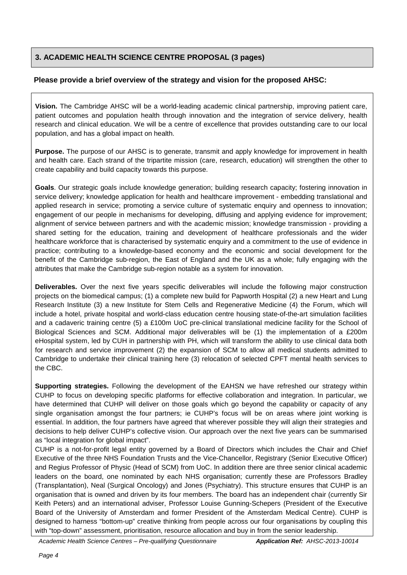## **3. ACADEMIC HEALTH SCIENCE CENTRE PROPOSAL (3 pages)**

### **Please provide a brief overview of the strategy and vision for the proposed AHSC:**

**Vision.** The Cambridge AHSC will be a world-leading academic clinical partnership, improving patient care, patient outcomes and population health through innovation and the integration of service delivery, health research and clinical education. We will be a centre of excellence that provides outstanding care to our local population, and has a global impact on health.

**Purpose.** The purpose of our AHSC is to generate, transmit and apply knowledge for improvement in health and health care. Each strand of the tripartite mission (care, research, education) will strengthen the other to create capability and build capacity towards this purpose.

**Goals**. Our strategic goals include knowledge generation; building research capacity; fostering innovation in service delivery; knowledge application for health and healthcare improvement - embedding translational and applied research in service; promoting a service culture of systematic enquiry and openness to innovation; engagement of our people in mechanisms for developing, diffusing and applying evidence for improvement; alignment of service between partners and with the academic mission; knowledge transmission - providing a shared setting for the education, training and development of healthcare professionals and the wider healthcare workforce that is characterised by systematic enquiry and a commitment to the use of evidence in practice; contributing to a knowledge-based economy and the economic and social development for the benefit of the Cambridge sub-region, the East of England and the UK as a whole; fully engaging with the attributes that make the Cambridge sub-region notable as a system for innovation.

**Deliverables.** Over the next five years specific deliverables will include the following major construction projects on the biomedical campus; (1) a complete new build for Papworth Hospital (2) a new Heart and Lung Research Institute (3) a new Institute for Stem Cells and Regenerative Medicine (4) the Forum, which will include a hotel, private hospital and world-class education centre housing state-of-the-art simulation facilities and a cadaveric training centre (5) a £100m UoC pre-clinical translational medicine facility for the School of Biological Sciences and SCM. Additional major deliverables will be (1) the implementation of a £200m eHospital system, led by CUH in partnership with PH, which will transform the ability to use clinical data both for research and service improvement (2) the expansion of SCM to allow all medical students admitted to Cambridge to undertake their clinical training here (3) relocation of selected CPFT mental health services to the CBC.

**Supporting strategies.** Following the development of the EAHSN we have refreshed our strategy within CUHP to focus on developing specific platforms for effective collaboration and integration. In particular, we have determined that CUHP will deliver on those goals which go beyond the capability or capacity of any single organisation amongst the four partners; ie CUHP's focus will be on areas where joint working is essential. In addition, the four partners have agreed that wherever possible they will align their strategies and decisions to help deliver CUHP's collective vision. Our approach over the next five years can be summarised as "local integration for global impact".

CUHP is a not-for-profit legal entity governed by a Board of Directors which includes the Chair and Chief Executive of the three NHS Foundation Trusts and the Vice-Chancellor, Registrary (Senior Executive Officer) and Regius Professor of Physic (Head of SCM) from UoC. In addition there are three senior clinical academic leaders on the board, one nominated by each NHS organisation; currently these are Professors Bradley (Transplantation), Neal (Surgical Oncology) and Jones (Psychiatry). This structure ensures that CUHP is an organisation that is owned and driven by its four members. The board has an independent chair (currently Sir Keith Peters) and an international adviser, Professor Louise Gunning-Schepers (President of the Executive Board of the University of Amsterdam and former President of the Amsterdam Medical Centre). CUHP is designed to harness "bottom-up" creative thinking from people across our four organisations by coupling this with "top-down" assessment, prioritisation, resource allocation and buy in from the senior leadership.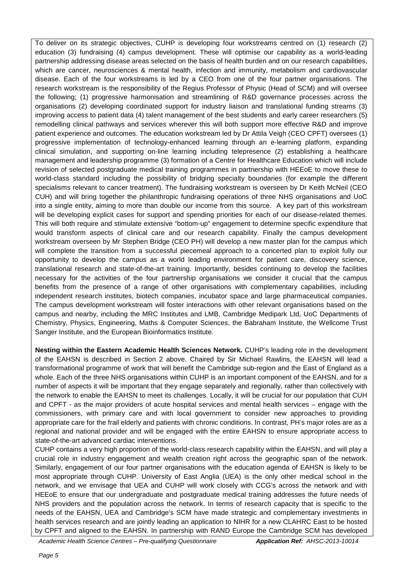To deliver on its strategic objectives, CUHP is developing four workstreams centred on (1) research (2) education (3) fundraising (4) campus development. These will optimise our capability as a world-leading partnership addressing disease areas selected on the basis of health burden and on our research capabilities, which are cancer, neurosciences & mental health, infection and immunity, metabolism and cardiovascular disease. Each of the four workstreams is led by a CEO from one of the four partner organisations. The research workstream is the responsibility of the Regius Professor of Physic (Head of SCM) and will oversee the following; (1) progressive harmonisation and streamlining of R&D governance processes across the organisations (2) developing coordinated support for industry liaison and translational funding streams (3) improving access to patient data (4) talent management of the best students and early career researchers (5) remodelling clinical pathways and services wherever this will both support more effective R&D and improve patient experience and outcomes. The education workstream led by Dr Attila Veigh (CEO CPFT) oversees (1) progressive implementation of technology-enhanced learning through an e-learning platform, expanding clinical simulation, and supporting on-line learning including telepresence (2) establishing a healthcare management and leadership programme (3) formation of a Centre for Healthcare Education which will include revision of selected postgraduate medical training programmes in partnership with HEEoE to move these to world-class standard including the possibility of bridging specialty boundaries (for example the different specialisms relevant to cancer treatment). The fundraising workstream is overseen by Dr Keith McNeil (CEO CUH) and will bring together the philanthropic fundraising operations of three NHS organisations and UoC into a single entity, aiming to more than double our income from this source. A key part of this workstream will be developing explicit cases for support and spending priorities for each of our disease-related themes. This will both require and stimulate extensive "bottom-up" engagement to determine specific expenditure that would transform aspects of clinical care and our research capability. Finally the campus development workstream overseen by Mr Stephen Bridge (CEO PH) will develop a new master plan for the campus which will complete the transition from a successful piecemeal approach to a concerted plan to exploit fully our opportunity to develop the campus as a world leading environment for patient care, discovery science, translational research and state-of-the-art training. Importantly, besides continuing to develop the facilities necessary for the activities of the four partnership organisations we consider it crucial that the campus benefits from the presence of a range of other organisations with complementary capabilities, including independent research institutes, biotech companies, incubator space and large pharmaceutical companies. The campus development workstream will foster interactions with other relevant organisations based on the campus and nearby, including the MRC Institutes and LMB, Cambridge Medipark Ltd, UoC Departments of Chemistry, Physics, Engineering, Maths & Computer Sciences, the Babraham Institute, the Wellcome Trust Sanger Institute, and the European Bioinformatics Institute.

**Nesting within the Eastern Academic Health Sciences Network.** CUHP's leading role in the development of the EAHSN is described in Section 2 above. Chaired by Sir Michael Rawlins, the EAHSN will lead a transformational programme of work that will benefit the Cambridge sub-region and the East of England as a whole. Each of the three NHS organisations within CUHP is an important component of the EAHSN, and for a number of aspects it will be important that they engage separately and regionally, rather than collectively with the network to enable the EAHSN to meet its challenges. Locally, it will be crucial for our population that CUH and CPFT - as the major providers of acute hospital services and mental health services – engage with the commissioners, with primary care and with local government to consider new approaches to providing appropriate care for the frail elderly and patients with chronic conditions. In contrast, PH's major roles are as a regional and national provider and will be engaged with the entire EAHSN to ensure appropriate access to state-of-the-art advanced cardiac interventions.

CUHP contains a very high proportion of the world-class research capability within the EAHSN, and will play a crucial role in industry engagement and wealth creation right across the geographic span of the network. Similarly, engagement of our four partner organisations with the education agenda of EAHSN is likely to be most appropriate through CUHP. University of East Anglia (UEA) is the only other medical school in the network, and we envisage that UEA and CUHP will work closely with CCG's across the network and with HEEoE to ensure that our undergraduate and postgraduate medical training addresses the future needs of NHS providers and the population across the network. In terms of research capacity that is specific to the needs of the EAHSN, UEA and Cambridge's SCM have made strategic and complementary investments in health services research and are jointly leading an application to NIHR for a new CLAHRC East to be hosted by CPFT and aligned to the EAHSN. In partnership with RAND Europe the Cambridge SCM has developed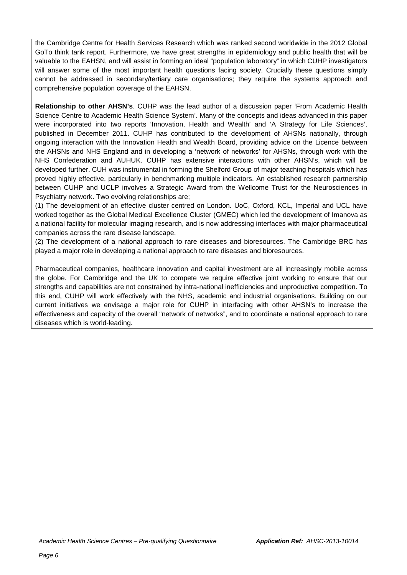the Cambridge Centre for Health Services Research which was ranked second worldwide in the 2012 Global GoTo think tank report. Furthermore, we have great strengths in epidemiology and public health that will be valuable to the EAHSN, and will assist in forming an ideal "population laboratory" in which CUHP investigators will answer some of the most important health questions facing society. Crucially these questions simply cannot be addressed in secondary/tertiary care organisations; they require the systems approach and comprehensive population coverage of the EAHSN.

**Relationship to other AHSN's**. CUHP was the lead author of a discussion paper 'From Academic Health Science Centre to Academic Health Science System'. Many of the concepts and ideas advanced in this paper were incorporated into two reports 'Innovation, Health and Wealth' and 'A Strategy for Life Sciences', published in December 2011. CUHP has contributed to the development of AHSNs nationally, through ongoing interaction with the Innovation Health and Wealth Board, providing advice on the Licence between the AHSNs and NHS England and in developing a 'network of networks' for AHSNs, through work with the NHS Confederation and AUHUK. CUHP has extensive interactions with other AHSN's, which will be developed further. CUH was instrumental in forming the Shelford Group of major teaching hospitals which has proved highly effective, particularly in benchmarking multiple indicators. An established research partnership between CUHP and UCLP involves a Strategic Award from the Wellcome Trust for the Neurosciences in Psychiatry network. Two evolving relationships are;

(1) The development of an effective cluster centred on London. UoC, Oxford, KCL, Imperial and UCL have worked together as the Global Medical Excellence Cluster (GMEC) which led the development of Imanova as a national facility for molecular imaging research, and is now addressing interfaces with major pharmaceutical companies across the rare disease landscape.

(2) The development of a national approach to rare diseases and bioresources. The Cambridge BRC has played a major role in developing a national approach to rare diseases and bioresources.

Pharmaceutical companies, healthcare innovation and capital investment are all increasingly mobile across the globe. For Cambridge and the UK to compete we require effective joint working to ensure that our strengths and capabilities are not constrained by intra-national inefficiencies and unproductive competition. To this end, CUHP will work effectively with the NHS, academic and industrial organisations. Building on our current initiatives we envisage a major role for CUHP in interfacing with other AHSN's to increase the effectiveness and capacity of the overall "network of networks", and to coordinate a national approach to rare diseases which is world-leading.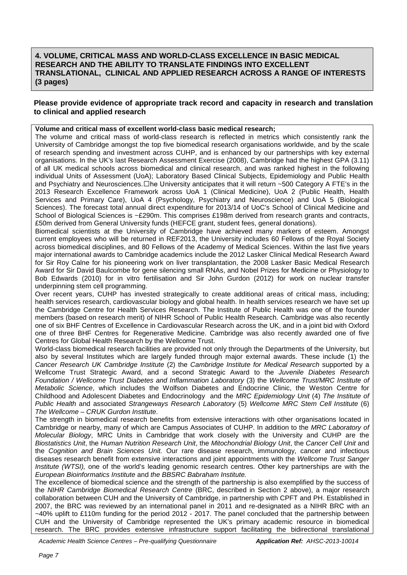#### **Please provide evidence of appropriate track record and capacity in research and translation to clinical and applied research**

#### **Volume and critical mass of excellent world-class basic medical research;**

The volume and critical mass of world-class research is reflected in metrics which consistently rank the University of Cambridge amongst the top five biomedical research organisations worldwide, and by the scale of research spending and investment across CUHP, and is enhanced by our partnerships with key external organisations. In the UK's last Research Assessment Exercise (2008), Cambridge had the highest GPA (3.11) of all UK medical schools across biomedical and clinical research, and was ranked highest in the following individual Units of Assessment (UoA); Laboratory Based Clinical Subjects, Epidemiology and Public Health and Psychiatry and Neurosciences.  $\Box$ he University anticipates that it will return ~500 Category A FTE's in the 2013 Research Excellence Framework across UoA 1 (Clinical Medicine), UoA 2 (Public Health, Health Services and Primary Care), UoA 4 (Psychology, Psychiatry and Neuroscience) and UoA 5 (Biological Sciences). The forecast total annual direct expenditure for 2013/14 of UoC's School of Clinical Medicine and School of Biological Sciences is ~£290m. This comprises £198m derived from research grants and contracts, £50m derived from General University funds (HEFCE grant, student fees, general donations).

Biomedical scientists at the University of Cambridge have achieved many markers of esteem. Amongst current employees who will be returned in REF2013, the University includes 60 Fellows of the Royal Society across biomedical disciplines, and 80 Fellows of the Academy of Medical Sciences. Within the last five years major international awards to Cambridge academics include the 2012 Lasker Clinical Medical Research Award for Sir Roy Calne for his pioneering work on liver transplantation, the 2008 Lasker Basic Medical Research Award for Sir David Baulcombe for gene silencing small RNAs, and Nobel Prizes for Medicine or Physiology to Bob Edwards (2010) for in vitro fertilisation and Sir John Gurdon (2012) for work on nuclear transfer underpinning stem cell programming.

Over recent years, CUHP has invested strategically to create additional areas of critical mass, including; health services research, cardiovascular biology and global health. In health services research we have set up the Cambridge Centre for Health Services Research. The Institute of Public Health was one of the founder members (based on research merit) of NIHR School of Public Health Research. Cambridge was also recently one of six BHF Centres of Excellence in Cardiovascular Research across the UK, and in a joint bid with Oxford one of three BHF Centres for Regenerative Medicine. Cambridge was also recently awarded one of five Centres for Global Health Research by the Wellcome Trust.

World-class biomedical research facilities are provided not only through the Departments of the University, but also by several Institutes which are largely funded through major external awards. These include (1) the *Cancer Research UK Cambridge Institute* (2) the *Cambridge Institute for Medical Research* supported by a Wellcome Trust Strategic Award, and a second Strategic Award to the *Juvenile Diabetes Research Foundation / Wellcome Trust Diabetes and Inflammation Laboratory* (3) the *Wellcome Trust/MRC Institute of Metabolic Science*, which includes the Wolfson Diabetes and Endocrine Clinic, the Weston Centre for Childhood and Adolescent Diabetes and Endocrinology and the *MRC Epidemiology Unit* (4) *The Institute of Public Health* and associated *Strangeways Research Laboratory* (5) *Wellcome MRC Stem Cell Institute* (6) *The Wellcome – CRUK Gurdon Institute*.

The strength in biomedical research benefits from extensive interactions with other organisations located in Cambridge or nearby, many of which are Campus Associates of CUHP. In addition to the *MRC Laboratory of Molecular Biology*, MRC Units in Cambridge that work closely with the University and CUHP are the *Biostatistics Unit*, the *Human Nutrition Research Unit*, the *Mitochondrial Biology Unit*, the *Cancer Cell Unit* and the *Cognition and Brain Sciences Unit.* Our rare disease research, immunology, cancer and infectious diseases research benefit from extensive interactions and joint appointments with the *Wellcome Trust Sanger Institute (WTSI),* one of the world's leading genomic research centres. Other key partnerships are with the *European Bioinformatics Institute* and *the BBSRC Babraham Institute.*

The excellence of biomedical science and the strength of the partnership is also exemplified by the success of the *NIHR Cambridge Biomedical Research Centre* (BRC, described in Section 2 above), a major research collaboration between CUH and the University of Cambridge, in partnership with CPFT and PH. Established in 2007, the BRC was reviewed by an international panel in 2011 and re-designated as a NIHR BRC with an ~40% uplift to £110m funding for the period 2012 - 2017. The panel concluded that the partnership between CUH and the University of Cambridge represented the UK's primary academic resource in biomedical research. The BRC provides extensive infrastructure support facilitating the bidirectional translational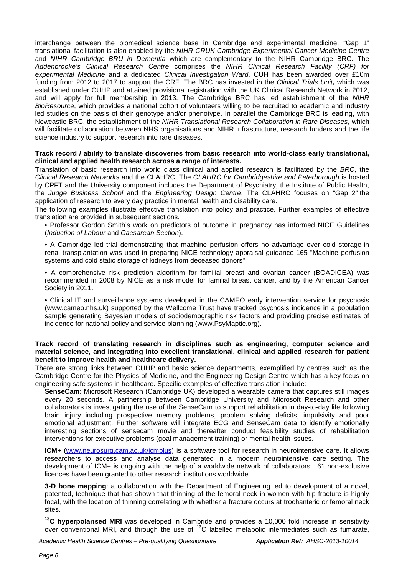interchange between the biomedical science base in Cambridge and experimental medicine. "Gap 1" translational facilitation is also enabled by the *NIHR-CRUK Cambridge Experimental Cancer Medicine Centre* and *NIHR Cambridge BRU in Dementia* which are complementary to the NIHR Cambridge BRC. The *Addenbrooke's Clinical Research Centre* comprises the *NIHR Clinical Research Facility (CRF) for experimental Medicine* and a dedicated *Clinical Investigation Ward*. CUH has been awarded over £10m funding from 2012 to 2017 to support the CRF. The BRC has invested in the *Clinical Trials Unit***,** which was established under CUHP and attained provisional registration with the UK Clinical Research Network in 2012, and will apply for full membership in 2013. The Cambridge BRC has led establishment of the *NIHR BioResource*, which provides a national cohort of volunteers willing to be recruited to academic and industry led studies on the basis of their genotype and/or phenotype. In parallel the Cambridge BRC is leading, with Newcastle BRC, the establishment of the *NIHR Translational Research Collaboration in Rare Diseases*, which will facilitate collaboration between NHS organisations and NIHR infrastructure, research funders and the life science industry to support research into rare diseases.

**Track record / ability to translate discoveries from basic research into world-class early translational, clinical and applied health research across a range of interests.**

Translation of basic research into world class clinical and applied research is facilitated by the *BRC*, the *Clinical Research Networks* and the CLAHRC. The *CLAHRC for Cambridgeshire and Peterborough* is hosted by CPFT and the University component includes the Department of Psychiatry, the Institute of Public Health, the *Judge Business School* and the *Engineering Design Centre*. The CLAHRC focuses on "Gap 2" the application of research to every day practice in mental health and disability care.

The following examples illustrate effective translation into policy and practice. Further examples of effective translation are provided in subsequent sections.

• Professor Gordon Smith's work on predictors of outcome in pregnancy has informed NICE Guidelines (*Induction of Labour* and *Caesarean Section*).

• A Cambridge led trial demonstrating that machine perfusion offers no advantage over cold storage in renal transplantation was used in preparing NICE technology appraisal guidance 165 "Machine perfusion systems and cold static storage of kidneys from deceased donors".

• A comprehensive risk prediction algorithm for familial breast and ovarian cancer (BOADICEA) was recommended in 2008 by NICE as a risk model for familial breast cancer, and by the American Cancer Society in 2011.

• Clinical IT and surveillance systems developed in the CAMEO early intervention service for psychosis (www.cameo.nhs.uk) supported by the Wellcome Trust have tracked psychosis incidence in a population sample generating Bayesian models of sociodemographic risk factors and providing precise estimates of incidence for national policy and service planning (www.PsyMaptic.org).

#### **Track record of translating research in disciplines such as engineering, computer science and material science, and integrating into excellent translational, clinical and applied research for patient benefit to improve health and healthcare delivery.**

There are strong links between CUHP and basic science departments, exemplified by centres such as the Cambridge Centre for the Physics of Medicine, and the Engineering Design Centre which has a key focus on engineering safe systems in healthcare. Specific examples of effective translation include:

**SenseCam**: Microsoft Research (Cambridge UK) developed a wearable camera that captures still images every 20 seconds. A partnership between Cambridge University and Microsoft Research and other collaborators is investigating the use of the SenseCam to support rehabilitation in day-to-day life following brain injury including prospective memory problems, problem solving deficits, impulsivity and poor emotional adjustment. Further software will integrate ECG and SenseCam data to identify emotionally interesting sections of sensecam movie and thereafter conduct feasibility studies of rehabilitation interventions for executive problems (goal management training) or mental health issues.

**ICM+** [\(www.neurosurg.cam.ac.uk/icmplus\)](http://www.neurosurg.cam.ac.uk/icmplus) is a software tool for research in neurointensive care. It allows researchers to access and analyse data generated in a modern neurointensive care setting. The development of ICM+ is ongoing with the help of a worldwide network of collaborators. 61 non-exclusive licences have been granted to other research institutions worldwide.

**3-D bone mapping**: a collaboration with the Department of Engineering led to development of a novel, patented, technique that has shown that thinning of the femoral neck in women with hip fracture is highly focal, with the location of thinning correlating with whether a fracture occurs at trochanteric or femoral neck sites.

<sup>13</sup>C hvnerpolarised MRI was developed in Cambride and provides a 10,000 fold increase in sensitivity over conventional MRI, and through the use of  $^{13}$ C labelled metabolic intermediates such as fumarate,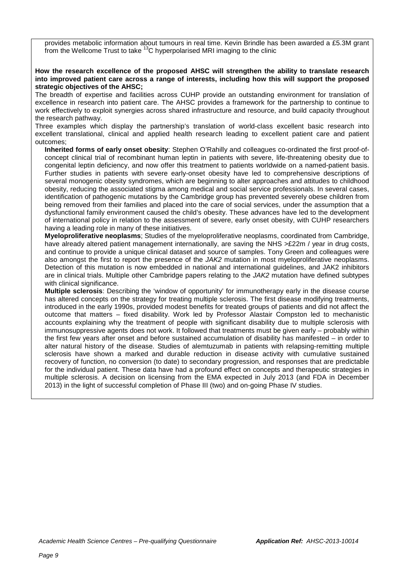provides metabolic information about tumours in real time. Kevin Brindle has been awarded a £5.3M grant from the Wellcome Trust to take  $13<sup>C</sup>$  hyperpolarised MRI imaging to the clinic

#### **How the research excellence of the proposed AHSC will strengthen the ability to translate research into improved patient care across a range of interests, including how this will support the proposed strategic objectives of the AHSC;**

The breadth of expertise and facilities across CUHP provide an outstanding environment for translation of excellence in research into patient care. The AHSC provides a framework for the partnership to continue to work effectively to exploit synergies across shared infrastructure and resource, and build capacity throughout the research pathway.

Three examples which display the partnership's translation of world-class excellent basic research into excellent translational, clinical and applied health research leading to excellent patient care and patient outcomes;

**Inherited forms of early onset obesity**: Stephen O'Rahilly and colleagues co-ordinated the first proof-ofconcept clinical trial of recombinant human leptin in patients with severe, life-threatening obesity due to congenital leptin deficiency, and now offer this treatment to patients worldwide on a named-patient basis. Further studies in patients with severe early-onset obesity have led to comprehensive descriptions of several monogenic obesity syndromes, which are beginning to alter approaches and attitudes to childhood obesity, reducing the associated stigma among medical and social service professionals. In several cases, identification of pathogenic mutations by the Cambridge group has prevented severely obese children from being removed from their families and placed into the care of social services, under the assumption that a dysfunctional family environment caused the child's obesity. These advances have led to the development of international policy in relation to the assessment of severe, early onset obesity, with CUHP researchers having a leading role in many of these initiatives.

**Myeloproliferative neoplasms**; Studies of the myeloproliferative neoplasms, coordinated from Cambridge, have already altered patient management internationally, are saving the NHS >£22m / year in drug costs, and continue to provide a unique clinical dataset and source of samples. Tony Green and colleagues were also amongst the first to report the presence of the *JAK2* mutation in most myeloproliferative neoplasms. Detection of this mutation is now embedded in national and international guidelines, and JAK2 inhibitors are in clinical trials. Multiple other Cambridge papers relating to the *JAK2* mutation have defined subtypes with clinical significance.

**Multiple sclerosis**: Describing the 'window of opportunity' for immunotherapy early in the disease course has altered concepts on the strategy for treating multiple sclerosis. The first disease modifying treatments, introduced in the early 1990s, provided modest benefits for treated groups of patients and did not affect the outcome that matters – fixed disability. Work led by Professor Alastair Compston led to mechanistic accounts explaining why the treatment of people with significant disability due to multiple sclerosis with immunosuppressive agents does not work. It followed that treatments must be given early – probably within the first few years after onset and before sustained accumulation of disability has manifested – in order to alter natural history of the disease. Studies of alemtuzumab in patients with relapsing-remitting multiple sclerosis have shown a marked and durable reduction in disease activity with cumulative sustained recovery of function, no conversion (to date) to secondary progression, and responses that are predictable for the individual patient. These data have had a profound effect on concepts and therapeutic strategies in multiple sclerosis. A decision on licensing from the EMA expected in July 2013 (and FDA in December 2013) in the light of successful completion of Phase III (two) and on-going Phase IV studies.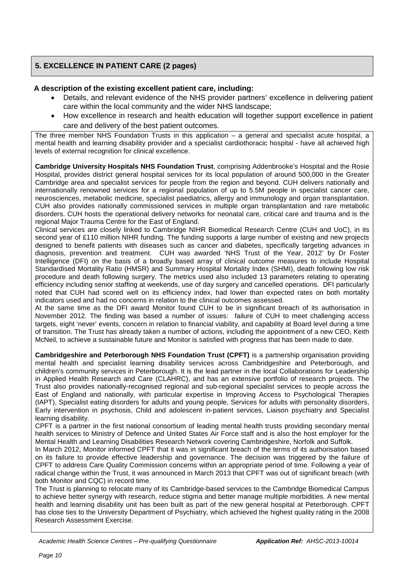## **5. EXCELLENCE IN PATIENT CARE (2 pages)**

### **A description of the existing excellent patient care, including:**

- Details, and relevant evidence of the NHS provider partners' excellence in delivering patient care within the local community and the wider NHS landscape;
- How excellence in research and health education will together support excellence in patient care and delivery of the best patient outcomes.

The three member NHS Foundation Trusts in this application – a general and specialist acute hospital, a mental health and learning disability provider and a specialist cardiothoracic hospital - have all achieved high levels of external recognition for clinical excellence.

**Cambridge University Hospitals NHS Foundation Trust**, comprising Addenbrooke's Hospital and the Rosie Hospital, provides district general hospital services for its local population of around 500,000 in the Greater Cambridge area and specialist services for people from the region and beyond. CUH delivers nationally and internationally renowned services for a regional population of up to 5.5M people in specialist cancer care, neurosciences, metabolic medicine, specialist paediatrics, allergy and immunology and organ transplantation. CUH also provides nationally commissioned services in multiple organ transplantation and rare metabolic disorders. CUH hosts the operational delivery networks for neonatal care, critical care and trauma and is the regional Major Trauma Centre for the East of England.

Clinical services are closely linked to Cambridge NIHR Biomedical Research Centre (CUH and UoC), in its second year of £110 million NIHR funding. The funding supports a large number of existing and new projects designed to benefit patients with diseases such as cancer and diabetes, specifically targeting advances in diagnosis, prevention and treatment. CUH was awarded 'NHS Trust of the Year, 2012' by Dr Foster Intelligence (DFI) on the basis of a broadly based array of clinical outcome measures to include Hospital Standardised Mortality Ratio (HMSR) and Summary Hospital Mortality Index (SHMI), death following low risk procedure and death following surgery. The metrics used also included 13 parameters relating to operating efficiency including senior staffing at weekends, use of day surgery and cancelled operations. DFI particularly noted that CUH had scored well on its efficiency index, had lower than expected rates on both mortality indicators used and had no concerns in relation to the clinical outcomes assessed.

At the same time as the DFI award Monitor found CUH to be in significant breach of its authorisation in November 2012. The finding was based a number of issues: failure of CUH to meet challenging access targets, eight 'never' events, concern in relation to financial viability, and capability at Board level during a time of transition. The Trust has already taken a number of actions, including the appointment of a new CEO, Keith McNeil, to achieve a sustainable future and Monitor is satisfied with progress that has been made to date.

**Cambridgeshire and Peterborough NHS Foundation Trust (CPFT)** is a partnership organisation providing mental health and specialist learning disability services across Cambridgeshire and Peterborough, and children's community services in Peterborough. It is the lead partner in the local Collaborations for Leadership in Applied Health Research and Care (CLAHRC), and has an extensive portfolio of research projects. The Trust also provides nationally-recognised regional and sub-regional specialist services to people across the East of England and nationally, with particular expertise in Improving Access to Psychological Therapies (IAPT), Specialist eating disorders for adults and young people, Services for adults with personality disorders, Early intervention in psychosis, Child and adolescent in-patient services, Liaison psychiatry and Specialist learning disability.

CPFT is a partner in the first national consortium of leading mental health trusts providing secondary mental health services to Ministry of Defence and United States Air Force staff and is also the host employer for the Mental Health and Learning Disabilities Research Network covering Cambridgeshire, Norfolk and Suffolk.

In March 2012, Monitor informed CPFT that it was in significant breach of the terms of its authorisation based on its failure to provide effective leadership and governance. The decision was triggered by the failure of CPFT to address Care Quality Commission concerns within an appropriate period of time. Following a year of radical change within the Trust, it was announced in March 2013 that CPFT was out of significant breach (with both Monitor and CQC) in record time.

The Trust is planning to relocate many of its Cambridge-based services to the Cambridge Biomedical Campus to achieve better synergy with research, reduce stigma and better manage multiple morbidities. A new mental health and learning disability unit has been built as part of the new general hospital at Peterborough. CPFT has close ties to the University Department of Psychiatry, which achieved the highest quality rating in the 2008 Research Assessment Exercise.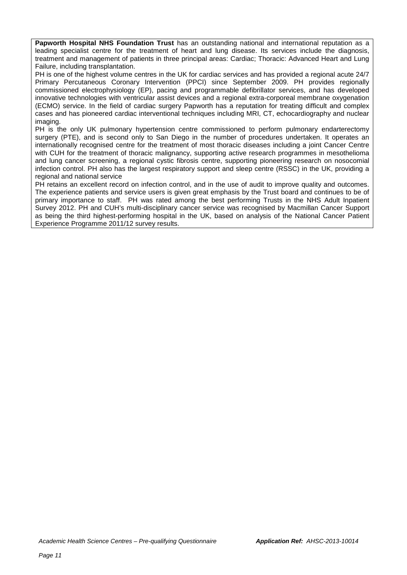**Papworth Hospital NHS Foundation Trust** has an outstanding national and international reputation as a leading specialist centre for the treatment of heart and lung disease. Its services include the diagnosis, treatment and management of patients in three principal areas: Cardiac; Thoracic: Advanced Heart and Lung Failure, including transplantation.

PH is one of the highest volume centres in the UK for cardiac services and has provided a regional acute 24/7 Primary Percutaneous Coronary Intervention (PPCI) since September 2009. PH provides regionally commissioned electrophysiology (EP), pacing and programmable defibrillator services, and has developed innovative technologies with ventricular assist devices and a regional extra-corporeal membrane oxygenation (ECMO) service. In the field of cardiac surgery Papworth has a reputation for treating difficult and complex cases and has pioneered cardiac interventional techniques including MRI, CT, echocardiography and nuclear imaging.

PH is the only UK pulmonary hypertension centre commissioned to perform pulmonary endarterectomy surgery (PTE), and is second only to San Diego in the number of procedures undertaken. It operates an internationally recognised centre for the treatment of most thoracic diseases including a joint Cancer Centre with CUH for the treatment of thoracic malignancy, supporting active research programmes in mesothelioma and lung cancer screening, a regional cystic fibrosis centre, supporting pioneering research on nosocomial infection control. PH also has the largest respiratory support and sleep centre (RSSC) in the UK, providing a regional and national service

PH retains an excellent record on infection control, and in the use of audit to improve quality and outcomes. The experience patients and service users is given great emphasis by the Trust board and continues to be of primary importance to staff. PH was rated among the best performing Trusts in the NHS Adult Inpatient Survey 2012. PH and CUH's multi-disciplinary cancer service was recognised by Macmillan Cancer Support as being the third highest-performing hospital in the UK, based on analysis of the National Cancer Patient Experience Programme 2011/12 survey results.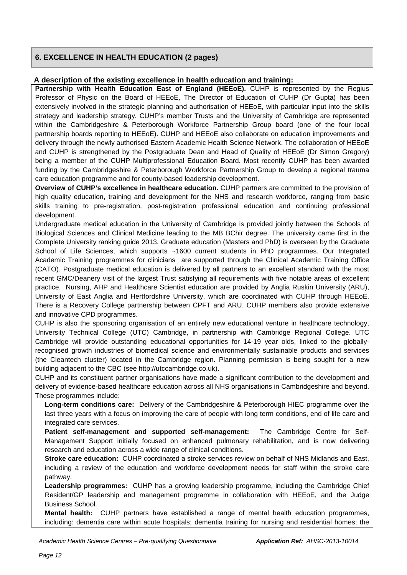## **6. EXCELLENCE IN HEALTH EDUCATION (2 pages)**

#### **A description of the existing excellence in health education and training:**

Partnership with Health Education East of England (HEEoE). CUHP is represented by the Regius Professor of Physic on the Board of HEEoE, The Director of Education of CUHP (Dr Gupta) has been extensively involved in the strategic planning and authorisation of HEEoE, with particular input into the skills strategy and leadership strategy. CUHP's member Trusts and the University of Cambridge are represented within the Cambridgeshire & Peterborough Workforce Partnership Group board (one of the four local partnership boards reporting to HEEoE). CUHP and HEEoE also collaborate on education improvements and delivery through the newly authorised Eastern Academic Health Science Network. The collaboration of HEEoE and CUHP is strengthened by the Postgraduate Dean and Head of Quality of HEEoE (Dr Simon Gregory) being a member of the CUHP Multiprofessional Education Board. Most recently CUHP has been awarded funding by the Cambridgeshire & Peterborough Workforce Partnership Group to develop a regional trauma care education programme and for county-based leadership development.

**Overview of CUHP's excellence in healthcare education.** CUHP partners are committed to the provision of high quality education, training and development for the NHS and research workforce, ranging from basic skills training to pre-registration, post-registration professional education and continuing professional development.

Undergraduate medical education in the University of Cambridge is provided jointly between the Schools of Biological Sciences and Clinical Medicine leading to the MB BChir degree. The university came first in the Complete University ranking guide 2013. Graduate education (Masters and PhD) is overseen by the Graduate School of Life Sciences, which supports ~1600 current students in PhD programmes. Our Integrated Academic Training programmes for clinicians are supported through the Clinical Academic Training Office (CATO). Postgraduate medical education is delivered by all partners to an excellent standard with the most recent GMC/Deanery visit of the largest Trust satisfying all requirements with five notable areas of excellent practice. Nursing, AHP and Healthcare Scientist education are provided by Anglia Ruskin University (ARU), University of East Anglia and Hertfordshire University, which are coordinated with CUHP through HEEoE. There is a Recovery College partnership between CPFT and ARU. CUHP members also provide extensive and innovative CPD programmes.

CUHP is also the sponsoring organisation of an entirely new educational venture in healthcare technology, University Technical College (UTC) Cambridge, in partnership with Cambridge Regional College. UTC Cambridge will provide outstanding educational opportunities for 14-19 year olds, linked to the globallyrecognised growth industries of biomedical science and environmentally sustainable products and services (the Cleantech cluster) located in the Cambridge region. Planning permission is being sought for a new building adjacent to the CBC (see http://utccambridge.co.uk).

CUHP and its constituent partner organisations have made a significant contribution to the development and delivery of evidence-based healthcare education across all NHS organisations in Cambridgeshire and beyond. These programmes include:

**Long-term conditions care:** Delivery of the Cambridgeshire & Peterborough HIEC programme over the last three years with a focus on improving the care of people with long term conditions, end of life care and integrated care services.

**Patient self-management and supported self-management:** The Cambridge Centre for Self-Management Support initially focused on enhanced pulmonary rehabilitation, and is now delivering research and education across a wide range of clinical conditions.

**Stroke care education:** CUHP coordinated a stroke services review on behalf of NHS Midlands and East, including a review of the education and workforce development needs for staff within the stroke care pathway.

**Leadership programmes:** CUHP has a growing leadership programme, including the Cambridge Chief Resident/GP leadership and management programme in collaboration with HEEoE, and the Judge Business School.

**Mental health:** CUHP partners have established a range of mental health education programmes, including: dementia care within acute hospitals; dementia training for nursing and residential homes; the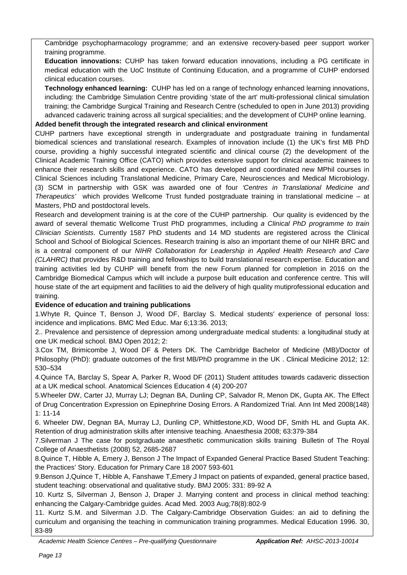Cambridge psychopharmacology programme; and an extensive recovery-based peer support worker training programme.

**Education innovations:** CUHP has taken forward education innovations, including a PG certificate in medical education with the UoC Institute of Continuing Education, and a programme of CUHP endorsed clinical education courses.

**Technology enhanced learning:** CUHP has led on a range of technology enhanced learning innovations, including: the Cambridge Simulation Centre providing 'state of the art' multi-professional clinical simulation training; the Cambridge Surgical Training and Research Centre (scheduled to open in June 2013) providing advanced cadaveric training across all surgical specialities; and the development of CUHP online learning.

**Added benefit through the integrated research and clinical environment** 

CUHP partners have exceptional strength in undergraduate and postgraduate training in fundamental biomedical sciences and translational research. Examples of innovation include (1) the UK's first MB PhD course, providing a highly successful integrated scientific and clinical course (2) the development of the Clinical Academic Training Office (CATO) which provides extensive support for clinical academic trainees to enhance their research skills and experience. CATO has developed and coordinated new MPhil courses in Clinical Sciences including Translational Medicine, Primary Care, Neurosciences and Medical Microbiology. (3) SCM in partnership with GSK was awarded one of four *'Centres in Translational Medicine and Therapeutics'* which provides Wellcome Trust funded postgraduate training in translational medicine – at Masters, PhD and postdoctoral levels.

Research and development training is at the core of the CUHP partnership. Our quality is evidenced by the award of several thematic Wellcome Trust PhD programmes, including *a Clinical PhD programme to train Clinician Scientists*. Currently 1587 PhD students and 14 MD students are registered across the Clinical School and School of Biological Sciences. Research training is also an important theme of our NIHR BRC and is a central component of our *NIHR Collaboration for Leadership in Applied Health Research and Care (CLAHRC)* that provides R&D training and fellowships to build translational research expertise. Education and training activities led by CUHP will benefit from the new Forum planned for completion in 2016 on the Cambridge Biomedical Campus which will include a purpose built education and conference centre. This will house state of the art equipment and facilities to aid the delivery of high quality mutiprofessional education and training.

## **Evidence of education and training publications**

1.Whyte R, Quince T, Benson J, Wood DF, Barclay S. Medical students' experience of personal loss: incidence and implications. BMC Med Educ. Mar 6;13:36. 2013;

2.. Prevalence and persistence of depression among undergraduate medical students: a longitudinal study at one UK medical school. BMJ Open 2012; 2:

3.Cox TM, Brimicombe J, Wood DF & Peters DK. The Cambridge Bachelor of Medicine (MB)/Doctor of Philosophy (PhD): graduate outcomes of the first MB/PhD programme in the UK . Clinical Medicine 2012; 12: 530–534

4.Quince TA, Barclay S, Spear A, Parker R, Wood DF (2011) Student attitudes towards cadaveric dissection at a UK medical school. Anatomical Sciences Education 4 (4) 200-207

5.Wheeler DW, Carter JJ, Murray LJ; Degnan BA, Dunling CP, Salvador R, Menon DK, Gupta AK. The Effect of Drug Concentration Expression on Epinephrine Dosing Errors. A Randomized Trial. Ann Int Med 2008(148) 1: 11-14

6. Wheeler DW, Degnan BA, Murray LJ, Dunling CP, Whittlestone,KD, Wood DF, Smith HL and Gupta AK. Retention of drug administration skills after intensive teaching. Anaesthesia 2008; 63:379-384

7.Silverman J The case for postgraduate anaesthetic communication skills training Bulletin of The Royal College of Anaesthetists (2008) 52, 2685-2687

8.Quince T, Hibble A, Emery J, Benson J The Impact of Expanded General Practice Based Student Teaching: the Practices' Story. Education for Primary Care 18 2007 593-601

9.Benson J,Quince T, Hibble A, Fanshawe T,Emery J Impact on patients of expanded, general practice based, student teaching: observational and qualitative study. BMJ 2005: 331: 89-92 A

10. Kurtz S, Silverman J, Benson J, Draper J. Marrying content and process in clinical method teaching: enhancing the Calgary-Cambridge guides. Acad Med. 2003 Aug;78(8):802-9

11. Kurtz S.M. and Silverman J.D. The Calgary-Cambridge Observation Guides: an aid to defining the curriculum and organising the teaching in communication training programmes. Medical Education 1996. 30, 83-89